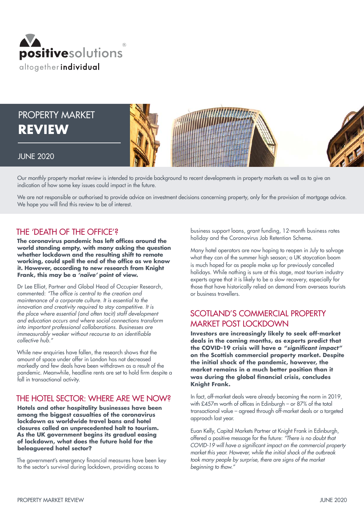

PROPERTY MARKET **REVIEW** 



## JUNE 2020

Our monthly property market review is intended to provide background to recent developments in property markets as well as to give an indication of how some key issues could impact in the future.

We are not responsible or authorised to provide advice on investment decisions concerning property, only for the provision of mortgage advice. We hope you will find this review to be of interest.

# THE 'DEATH OF THE OFFICE'?

**The coronavirus pandemic has left offices around the world standing empty, with many asking the question whether lockdown and the resulting shift to remote working, could spell the end of the office as we know it. However, according to new research from Knight Frank, this may be a** *'naïve'* **point of view.**

Dr Lee Elliot, Partner and Global Head of Occupier Research, commented: "The office is central to the creation and maintenance of a corporate culture. It is essential to the innovation and creativity required to stay competitive. It is the place where essential (and often tacit) staff development and education occurs and where social connections transform into important professional collaborations. Businesses are immeasurably weaker without recourse to an identifiable collective hub."

While new enquiries have fallen, the research shows that the amount of space under offer in London has not decreased markedly and few deals have been withdrawn as a result of the pandemic. Meanwhile, headline rents are set to hold firm despite a fall in transactional activity.

## THE HOTEL SECTOR: WHERE ARE WE NOW?

**Hotels and other hospitality businesses have been among the biggest casualties of the coronavirus lockdown as worldwide travel bans and hotel closures called an unprecedented halt to tourism. As the UK government begins its gradual easing of lockdown, what does the future hold for the beleaguered hotel sector?**

The government's emergency financial measures have been key to the sector's survival during lockdown, providing access to

business support loans, grant funding, 12-month business rates holiday and the Coronavirus Job Retention Scheme.

Many hotel operators are now hoping to reopen in July to salvage what they can of the summer high season; a UK staycation boom is much hoped for as people make up for previously cancelled holidays. While nothing is sure at this stage, most tourism industry experts agree that it is likely to be a slow recovery, especially for those that have historically relied on demand from overseas tourists or business travellers.

# SCOTLAND'S COMMERCIAL PROPERTY MARKET POST LOCKDOWN

**Investors are increasingly likely to seek off-market deals in the coming months, as experts predict that the COVID-19 crisis will have a "significant impact" on the Scottish commercial property market. Despite the initial shock of the pandemic, however, the market remains in a much better position than it was during the global financial crisis, concludes Knight Frank.**

In fact, off-market deals were already becoming the norm in 2019, with £457m worth of offices in Edinburgh – or 87% of the total transactional value – agreed through off-market deals or a targeted approach last year.

Euan Kelly, Capital Markets Partner at Knight Frank in Edinburgh, offered a positive message for the future: "There is no doubt that COVID-19 will have a significant impact on the commercial property market this year. However, while the initial shock of the outbreak took many people by surprise, there are signs of the market beginning to thaw."